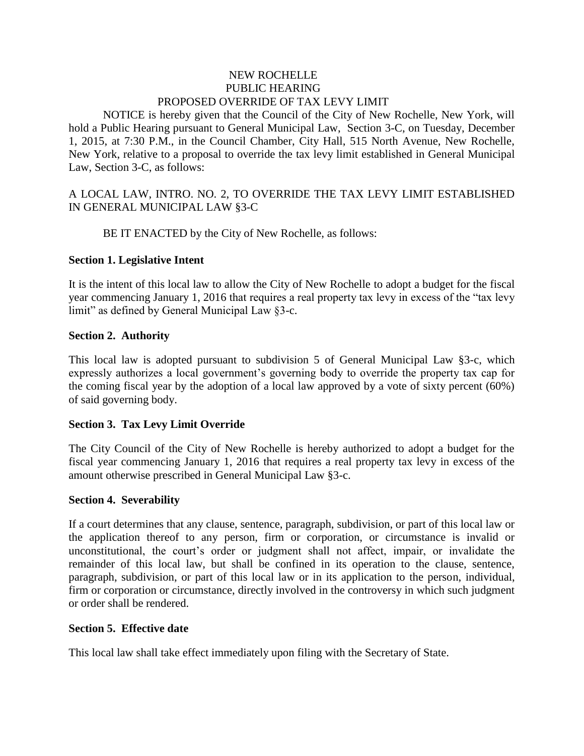## NEW ROCHELLE PUBLIC HEARING PROPOSED OVERRIDE OF TAX LEVY LIMIT

NOTICE is hereby given that the Council of the City of New Rochelle, New York, will hold a Public Hearing pursuant to General Municipal Law, Section 3-C, on Tuesday, December 1, 2015, at 7:30 P.M., in the Council Chamber, City Hall, 515 North Avenue, New Rochelle, New York, relative to a proposal to override the tax levy limit established in General Municipal Law, Section 3-C, as follows:

A LOCAL LAW, INTRO. NO. 2, TO OVERRIDE THE TAX LEVY LIMIT ESTABLISHED IN GENERAL MUNICIPAL LAW §3-C

BE IT ENACTED by the City of New Rochelle, as follows:

# **Section 1. Legislative Intent**

It is the intent of this local law to allow the City of New Rochelle to adopt a budget for the fiscal year commencing January 1, 2016 that requires a real property tax levy in excess of the "tax levy limit" as defined by General Municipal Law §3-c.

### **Section 2. Authority**

This local law is adopted pursuant to subdivision 5 of General Municipal Law §3-c, which expressly authorizes a local government's governing body to override the property tax cap for the coming fiscal year by the adoption of a local law approved by a vote of sixty percent (60%) of said governing body.

### **Section 3. Tax Levy Limit Override**

The City Council of the City of New Rochelle is hereby authorized to adopt a budget for the fiscal year commencing January 1, 2016 that requires a real property tax levy in excess of the amount otherwise prescribed in General Municipal Law §3-c.

### **Section 4. Severability**

If a court determines that any clause, sentence, paragraph, subdivision, or part of this local law or the application thereof to any person, firm or corporation, or circumstance is invalid or unconstitutional, the court's order or judgment shall not affect, impair, or invalidate the remainder of this local law, but shall be confined in its operation to the clause, sentence, paragraph, subdivision, or part of this local law or in its application to the person, individual, firm or corporation or circumstance, directly involved in the controversy in which such judgment or order shall be rendered.

### **Section 5. Effective date**

This local law shall take effect immediately upon filing with the Secretary of State.